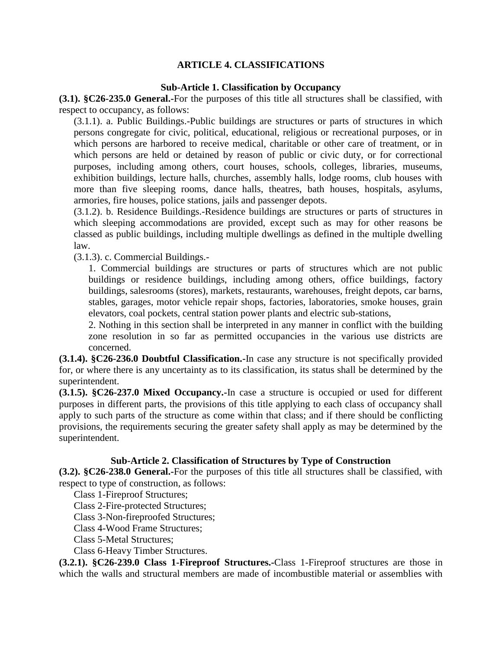## **ARTICLE 4. CLASSIFICATIONS**

#### **Sub-Article 1. Classification by Occupancy**

**(3.1). §C26-235.0 General.-**For the purposes of this title all structures shall be classified, with respect to occupancy, as follows:

(3.1.1). a. Public Buildings.-Public buildings are structures or parts of structures in which persons congregate for civic, political, educational, religious or recreational purposes, or in which persons are harbored to receive medical, charitable or other care of treatment, or in which persons are held or detained by reason of public or civic duty, or for correctional purposes, including among others, court houses, schools, colleges, libraries, museums, exhibition buildings, lecture halls, churches, assembly halls, lodge rooms, club houses with more than five sleeping rooms, dance halls, theatres, bath houses, hospitals, asylums, armories, fire houses, police stations, jails and passenger depots.

(3.1.2). b. Residence Buildings.-Residence buildings are structures or parts of structures in which sleeping accommodations are provided, except such as may for other reasons be classed as public buildings, including multiple dwellings as defined in the multiple dwelling law.

(3.1.3). c. Commercial Buildings.-

1. Commercial buildings are structures or parts of structures which are not public buildings or residence buildings, including among others, office buildings, factory buildings, salesrooms (stores), markets, restaurants, warehouses, freight depots, car barns, stables, garages, motor vehicle repair shops, factories, laboratories, smoke houses, grain elevators, coal pockets, central station power plants and electric sub-stations,

2. Nothing in this section shall be interpreted in any manner in conflict with the building zone resolution in so far as permitted occupancies in the various use districts are concerned.

**(3.1.4). §C26-236.0 Doubtful Classification.-**In case any structure is not specifically provided for, or where there is any uncertainty as to its classification, its status shall be determined by the superintendent.

**(3.1.5). §C26-237.0 Mixed Occupancy.-**In case a structure is occupied or used for different purposes in different parts, the provisions of this title applying to each class of occupancy shall apply to such parts of the structure as come within that class; and if there should be conflicting provisions, the requirements securing the greater safety shall apply as may be determined by the superintendent.

### **Sub-Article 2. Classification of Structures by Type of Construction**

**(3.2). §C26-238.0 General.-**For the purposes of this title all structures shall be classified, with respect to type of construction, as follows:

Class 1-Fireproof Structures;

Class 2-Fire-protected Structures;

Class 3-Non-fireproofed Structures;

Class 4-Wood Frame Structures;

Class 5-Metal Structures;

Class 6-Heavy Timber Structures.

**(3.2.1). §C26-239.0 Class 1-Fireproof Structures.-**Class 1-Fireproof structures are those in which the walls and structural members are made of incombustible material or assemblies with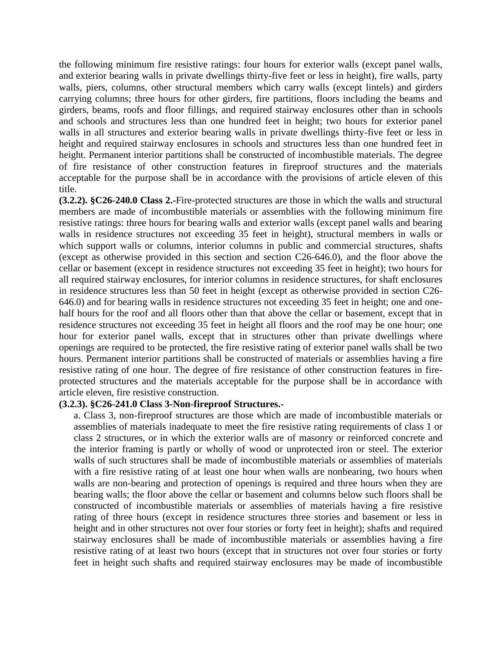the following minimum fire resistive ratings: four hours for exterior walls (except panel walls, and exterior bearing walls in private dwellings thirty-five feet or less in height), fire walls, party walls, piers, columns, other structural members which carry walls (except lintels) and girders carrying columns; three hours for other girders, fire partitions, floors including the beams and girders, beams, roofs and floor fillings, and required stairway enclosures other than in schools and schools and structures less than one hundred feet in height; two hours for exterior panel walls in all structures and exterior bearing walls in private dwellings thirty-five feet or less in height and required stairway enclosures in schools and structures less than one hundred feet in height. Permanent interior partitions shall be constructed of incombustible materials. The degree of fire resistance of other construction features in fireproof structures and the materials acceptable for the purpose shall be in accordance with the provisions of article eleven of this title.

**(3.2.2). §C26-240.0 Class 2.-**Fire-protected structures are those in which the walls and structural members are made of incombustible materials or assemblies with the following minimum fire resistive ratings: three hours for bearing walls and exterior walls (except panel walls and bearing walls in residence structures not exceeding 35 feet in height), structural members in walls or which support walls or columns, interior columns in public and commercial structures, shafts (except as otherwise provided in this section and section C26-646.0), and the floor above the cellar or basement (except in residence structures not exceeding 35 feet in height); two hours for all required stairway enclosures, for interior columns in residence structures, for shaft enclosures in residence structures less than 50 feet in height (except as otherwise provided in section C26- 646.0) and for bearing walls in residence structures not exceeding 35 feet in height; one and onehalf hours for the roof and all floors other than that above the cellar or basement, except that in residence structures not exceeding 35 feet in height all floors and the roof may be one hour; one hour for exterior panel walls, except that in structures other than private dwellings where openings are required to be protected, the fire resistive rating of exterior panel walls shall be two hours. Permanent interior partitions shall be constructed of materials or assemblies having a fire resistive rating of one hour. The degree of fire resistance of other construction features in fireprotected structures and the materials acceptable for the purpose shall be in accordance with article eleven, fire resistive construction.

#### **(3.2.3). §C26-241.0 Class 3-Non-fireproof Structures.-**

a. Class 3, non-fireproof structures are those which are made of incombustible materials or assemblies of materials inadequate to meet the fire resistive rating requirements of class 1 or class 2 structures, or in which the exterior walls are of masonry or reinforced concrete and the interior framing is partly or wholly of wood or unprotected iron or steel. The exterior walls of such structures shall be made of incombustible materials or assemblies of materials with a fire resistive rating of at least one hour when walls are nonbearing, two hours when walls are non-bearing and protection of openings is required and three hours when they are bearing walls; the floor above the cellar or basement and columns below such floors shall be constructed of incombustible materials or assemblies of materials having a fire resistive rating of three hours (except in residence structures three stories and basement or less in height and in other structures not over four stories or forty feet in height); shafts and required stairway enclosures shall be made of incombustible materials or assemblies having a fire resistive rating of at least two hours (except that in structures not over four stories or forty feet in height such shafts and required stairway enclosures may be made of incombustible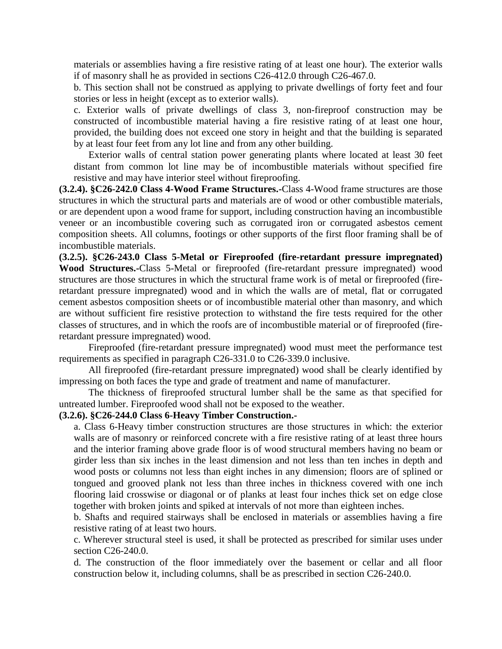materials or assemblies having a fire resistive rating of at least one hour). The exterior walls if of masonry shall he as provided in sections C26-412.0 through C26-467.0.

b. This section shall not be construed as applying to private dwellings of forty feet and four stories or less in height (except as to exterior walls).

c. Exterior walls of private dwellings of class 3, non-fireproof construction may be constructed of incombustible material having a fire resistive rating of at least one hour, provided, the building does not exceed one story in height and that the building is separated by at least four feet from any lot line and from any other building.

Exterior walls of central station power generating plants where located at least 30 feet distant from common lot line may be of incombustible materials without specified fire resistive and may have interior steel without fireproofing.

**(3.2.4). §C26-242.0 Class 4-Wood Frame Structures.-**Class 4-Wood frame structures are those structures in which the structural parts and materials are of wood or other combustible materials, or are dependent upon a wood frame for support, including construction having an incombustible veneer or an incombustible covering such as corrugated iron or corrugated asbestos cement composition sheets. All columns, footings or other supports of the first floor framing shall be of incombustible materials.

**(3.2.5). §C26-243.0 Class 5-Metal or Fireproofed (fire-retardant pressure impregnated) Wood Structures.-**Class 5-Metal or fireproofed (fire-retardant pressure impregnated) wood structures are those structures in which the structural frame work is of metal or fireproofed (fireretardant pressure impregnated) wood and in which the walls are of metal, flat or corrugated cement asbestos composition sheets or of incombustible material other than masonry, and which are without sufficient fire resistive protection to withstand the fire tests required for the other classes of structures, and in which the roofs are of incombustible material or of fireproofed (fireretardant pressure impregnated) wood.

Fireproofed (fire-retardant pressure impregnated) wood must meet the performance test requirements as specified in paragraph C26-331.0 to C26-339.0 inclusive.

All fireproofed (fire-retardant pressure impregnated) wood shall be clearly identified by impressing on both faces the type and grade of treatment and name of manufacturer.

The thickness of fireproofed structural lumber shall be the same as that specified for untreated lumber. Fireproofed wood shall not be exposed to the weather.

# **(3.2.6). §C26-244.0 Class 6-Heavy Timber Construction.-**

a. Class 6-Heavy timber construction structures are those structures in which: the exterior walls are of masonry or reinforced concrete with a fire resistive rating of at least three hours and the interior framing above grade floor is of wood structural members having no beam or girder less than six inches in the least dimension and not less than ten inches in depth and wood posts or columns not less than eight inches in any dimension; floors are of splined or tongued and grooved plank not less than three inches in thickness covered with one inch flooring laid crosswise or diagonal or of planks at least four inches thick set on edge close together with broken joints and spiked at intervals of not more than eighteen inches.

b. Shafts and required stairways shall be enclosed in materials or assemblies having a fire resistive rating of at least two hours.

c. Wherever structural steel is used, it shall be protected as prescribed for similar uses under section C26-240.0.

d. The construction of the floor immediately over the basement or cellar and all floor construction below it, including columns, shall be as prescribed in section C26-240.0.